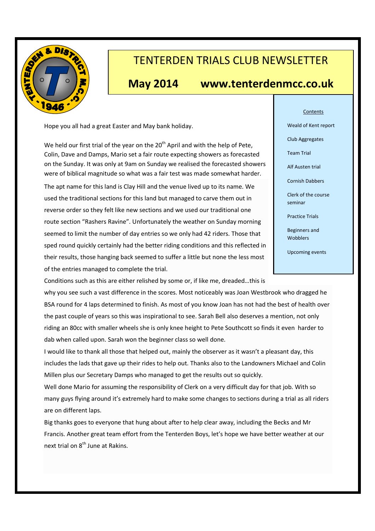

# TENTERDEN TRIALS CLUB NEWSLETTER

# **May 2014 www.tenterdenmcc.co.uk**

Hope you all had a great Easter and May bank holiday.

We held our first trial of the year on the  $20<sup>th</sup>$  April and with the help of Pete, Colin, Dave and Damps, Mario set a fair route expecting showers as forecasted on the Sunday. It was only at 9am on Sunday we realised the forecasted showers were of biblical magnitude so what was a fair test was made somewhat harder. The apt name for this land is Clay Hill and the venue lived up to its name. We used the traditional sections for this land but managed to carve them out in reverse order so they felt like new sections and we used our traditional one route section "Rashers Ravine". Unfortunately the weather on Sunday morning seemed to limit the number of day entries so we only had 42 riders. Those that sped round quickly certainly had the better riding conditions and this reflected in their results, those hanging back seemed to suffer a little but none the less most of the entries managed to complete the trial.

#### **Contents**

Weald of Kent report

Club Aggregates

Team Trial

Alf Austen trial

Cornish Dabbers

Clerk of the course seminar

Practice Trials

Beginners and **Wobblers** 

Upcoming events

Conditions such as this are either relished by some or, if like me, dreaded…this is why you see such a vast difference in the scores. Most noticeably was Joan Westbrook who dragged he BSA round for 4 laps determined to finish. As most of you know Joan has not had the best of health over the past couple of years so this was inspirational to see. Sarah Bell also deserves a mention, not only riding an 80cc with smaller wheels she is only knee height to Pete Southcott so finds it even harder to dab when called upon. Sarah won the beginner class so well done.

I would like to thank all those that helped out, mainly the observer as it wasn't a pleasant day, this includes the lads that gave up their rides to help out. Thanks also to the Landowners Michael and Colin Millen plus our Secretary Damps who managed to get the results out so quickly.

Well done Mario for assuming the responsibility of Clerk on a very difficult day for that job. With so many guys flying around it's extremely hard to make some changes to sections during a trial as all riders are on different laps.

Big thanks goes to everyone that hung about after to help clear away, including the Becks and Mr Francis. Another great team effort from the Tenterden Boys, let's hope we have better weather at our next trial on  $8^{th}$  June at Rakins.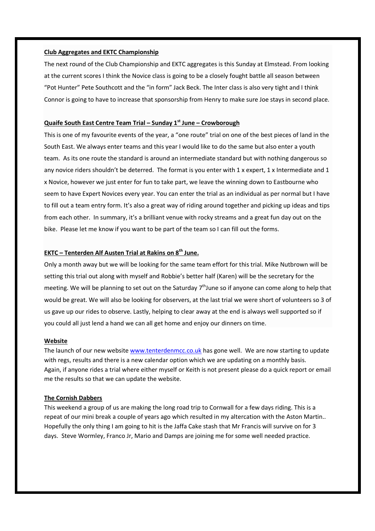#### **Club Aggregates and EKTC Championship**

The next round of the Club Championship and EKTC aggregates is this Sunday at Elmstead. From looking at the current scores I think the Novice class is going to be a closely fought battle all season between "Pot Hunter" Pete Southcott and the "in form" Jack Beck. The Inter class is also very tight and I think Connor is going to have to increase that sponsorship from Henry to make sure Joe stays in second place.

### **Quaife South East Centre Team Trial – Sunday 1st June – Crowborough**

This is one of my favourite events of the year, a "one route" trial on one of the best pieces of land in the South East. We always enter teams and this year I would like to do the same but also enter a youth team. As its one route the standard is around an intermediate standard but with nothing dangerous so any novice riders shouldn't be deterred. The format is you enter with 1 x expert, 1 x Intermediate and 1 x Novice, however we just enter for fun to take part, we leave the winning down to Eastbourne who seem to have Expert Novices every year. You can enter the trial as an individual as per normal but I have to fill out a team entry form. It's also a great way of riding around together and picking up ideas and tips from each other. In summary, it's a brilliant venue with rocky streams and a great fun day out on the bike. Please let me know if you want to be part of the team so I can fill out the forms.

## **EKTC – Tenterden Alf Austen Trial at Rakins on 8th June.**

Only a month away but we will be looking for the same team effort for this trial. Mike Nutbrown will be setting this trial out along with myself and Robbie's better half (Karen) will be the secretary for the meeting. We will be planning to set out on the Saturday 7<sup>th</sup>June so if anyone can come along to help that would be great. We will also be looking for observers, at the last trial we were short of volunteers so 3 of us gave up our rides to observe. Lastly, helping to clear away at the end is always well supported so if you could all just lend a hand we can all get home and enjoy our dinners on time.

#### **Website**

The launch of our new website www.tenterdenmcc.co.uk has gone well. We are now starting to update with regs, results and there is a new calendar option which we are updating on a monthly basis. Again, if anyone rides a trial where either myself or Keith is not present please do a quick report or email me the results so that we can update the website.

#### **The Cornish Dabbers**

This weekend a group of us are making the long road trip to Cornwall for a few days riding. This is a repeat of our mini break a couple of years ago which resulted in my altercation with the Aston Martin.. Hopefully the only thing I am going to hit is the Jaffa Cake stash that Mr Francis will survive on for 3 days. Steve Wormley, Franco Jr, Mario and Damps are joining me for some well needed practice.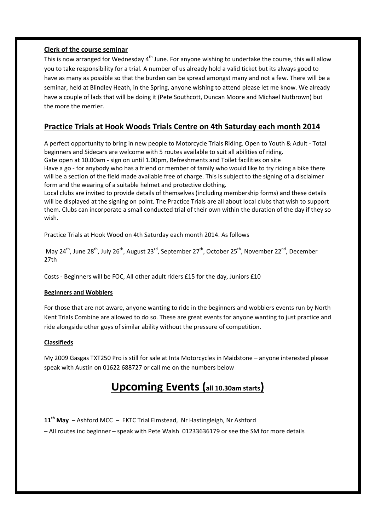## **Clerk of the course seminar**

This is now arranged for Wednesday 4<sup>th</sup> June. For anyone wishing to undertake the course, this will allow you to take responsibility for a trial. A number of us already hold a valid ticket but its always good to have as many as possible so that the burden can be spread amongst many and not a few. There will be a seminar, held at Blindley Heath, in the Spring, anyone wishing to attend please let me know. We already have a couple of lads that will be doing it (Pete Southcott, Duncan Moore and Michael Nutbrown) but the more the merrier.

# **Practice Trials at Hook Woods Trials Centre on 4th Saturday each month 2014**

A perfect opportunity to bring in new people to Motorcycle Trials Riding. Open to Youth & Adult - Total beginners and Sidecars are welcome with 5 routes available to suit all abilities of riding. Gate open at 10.00am - sign on until 1.00pm, Refreshments and Toilet facilities on site Have a go - for anybody who has a friend or member of family who would like to try riding a bike there will be a section of the field made available free of charge. This is subject to the signing of a disclaimer form and the wearing of a suitable helmet and protective clothing.

Local clubs are invited to provide details of themselves (including membership forms) and these details will be displayed at the signing on point. The Practice Trials are all about local clubs that wish to support them. Clubs can incorporate a small conducted trial of their own within the duration of the day if they so wish.

Practice Trials at Hook Wood on 4th Saturday each month 2014. As follows

May 24<sup>th</sup>, June 28<sup>th</sup>, July 26<sup>th</sup>, August 23<sup>rd</sup>, September 27<sup>th</sup>, October 25<sup>th</sup>, November 22<sup>nd</sup>, December 27th

Costs - Beginners will be FOC, All other adult riders £15 for the day, Juniors £10

### **Beginners and Wobblers**

For those that are not aware, anyone wanting to ride in the beginners and wobblers events run by North Kent Trials Combine are allowed to do so. These are great events for anyone wanting to just practice and ride alongside other guys of similar ability without the pressure of competition.

## **Classifieds**

My 2009 Gasgas TXT250 Pro is still for sale at Inta Motorcycles in Maidstone – anyone interested please speak with Austin on 01622 688727 or call me on the numbers below

# **Upcoming Events (all 10.30am starts)**

**11th May** – Ashford MCC – EKTC Trial Elmstead, Nr Hastingleigh, Nr Ashford – All routes inc beginner – speak with Pete Walsh 01233636179 or see the SM for more details